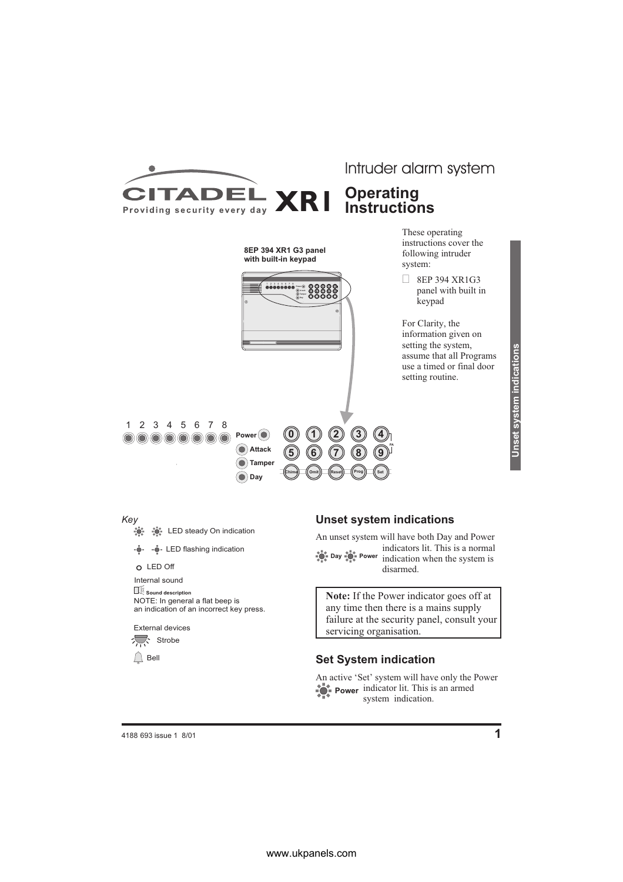<span id="page-0-0"></span>

An unset system will have both Day and Power indicators lit. This is a normal **Day**  $\sqrt{\ }$  Power indication when the system is disarmed.

> **Note:** If the Power indicator goes off at any time then there is a mains supply failure at the security panel, consult your servicing organisation.

# **Set System indication**

An active 'Set' system will have only the Power indicator lit. This is an armed **Power** system indication.

LED Off

**Sound description** Internal sound

External devices

人 Strobe  $\bigcap$  Bell

NOTE: In general a flat beep is an indication of an incorrect key press.

-Ö- -Ö- LED flashing indication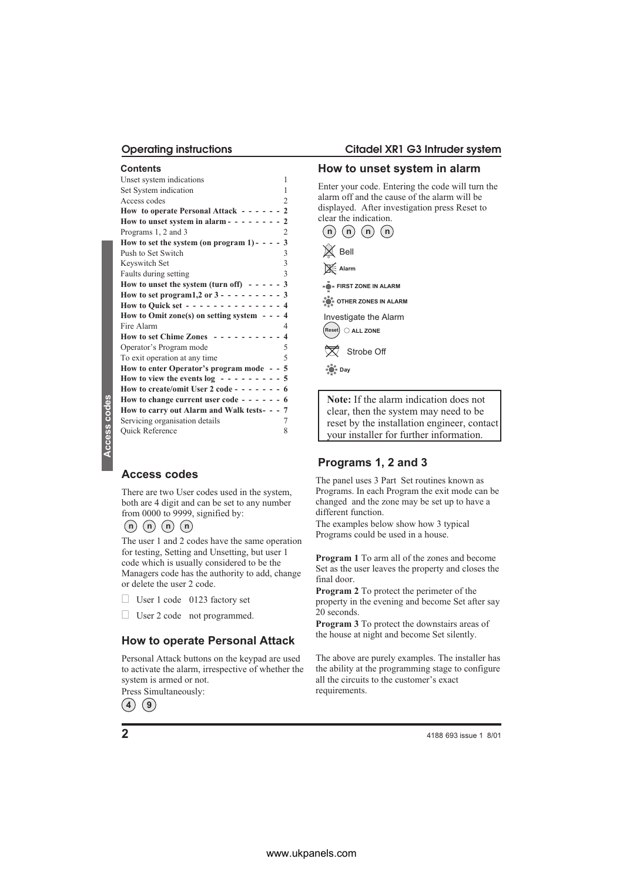| Contents                                           |
|----------------------------------------------------|
| Unset system indications<br>1                      |
| Set System indication<br>1                         |
| Access codes<br>$\overline{c}$                     |
| How to operate Personal Attack - - - - - - 2       |
| How to unset system in alarm - - - - - - - -       |
| Programs 1, 2 and 3<br>2                           |
| 3<br>How to set the system (on program 1) - $-$ -  |
| Push to Set Switch<br>3                            |
| 3<br>Keyswitch Set                                 |
| 3<br>Faults during setting                         |
| How to unset the system (turn off) $- - - - 3$     |
| How to set program1,2 or $3 - - - - - - - - - - 3$ |
| How to Quick set - - - - - - - - - - - - - - 4     |
| How to Omit zone(s) on setting system - - - 4      |
| Fire Alarm<br>4                                    |
| How to set Chime Zones $- - - - - - - - - 4$       |
| Operator's Program mode<br>5                       |
| 5<br>To exit operation at any time                 |
| How to enter Operator's program mode $-5$          |
| How to view the events $log - - - - - - - - - 5$   |
| How to create/omit User 2 code - - - - - - - 6     |
| How to change current user code - - - - - - - 6    |
| How to carry out Alarm and Walk tests- - - 7       |
| Servicing organisation details<br>7                |
| Quick Reference<br>8                               |

### **Access codes**

There are two User codes used in the system, both are 4 digit and can be set to any number from 0000 to 9999, signified by:

 $(n)$   $(n)$   $(n)$   $(n)$ 

The user 1 and 2 codes have the same operation for testing, Setting and Unsetting, but user 1 code which is usually considered to be the Managers code has the authority to add, change or delete the user 2 code.

User 1 code 0123 factory set

User 2 code not programmed.

### **How to operate Personal Attack**

Personal Attack buttons on the keypad are used to activate the alarm, irrespective of whether the system is armed or not.

Press Simultaneously:



### <span id="page-1-0"></span>**Operating instructions Citadel XR1 G3 Intruder system**

### **How to unset system in alarm**

Enter your code. Entering the code will turn the alarm off and the cause of the alarm will be displayed. After investigation press Reset to clear the indication.



 $\stackrel{\bullet}{\bullet}$  **FIRST ZONE IN ALARM** 

**OTHER ZONES IN ALARM** 

**Reset ALL ZONE** Investigate the Alarm

Strobe Off

**Day** 

**Note:** If the alarm indication does not clear, then the system may need to be reset by the installation engineer, contact your installer for further information.

## **Programs 1, 2 and 3**

The panel uses 3 Part Set routines known as Programs. In each Program the exit mode can be changed and the zone may be set up to have a different function.

The examples below show how 3 typical Programs could be used in a house.

**Program 1** To arm all of the zones and become Set as the user leaves the property and closes the final door.

**Program 2** To protect the perimeter of the property in the evening and become Set after say 20 seconds.

**Program 3** To protect the downstairs areas of the house at night and become Set silently.

The above are purely examples. The installer has the ability at the programming stage to configure all the circuits to the customer's exact requirements.

**2** 4188 693 issue 1 8/01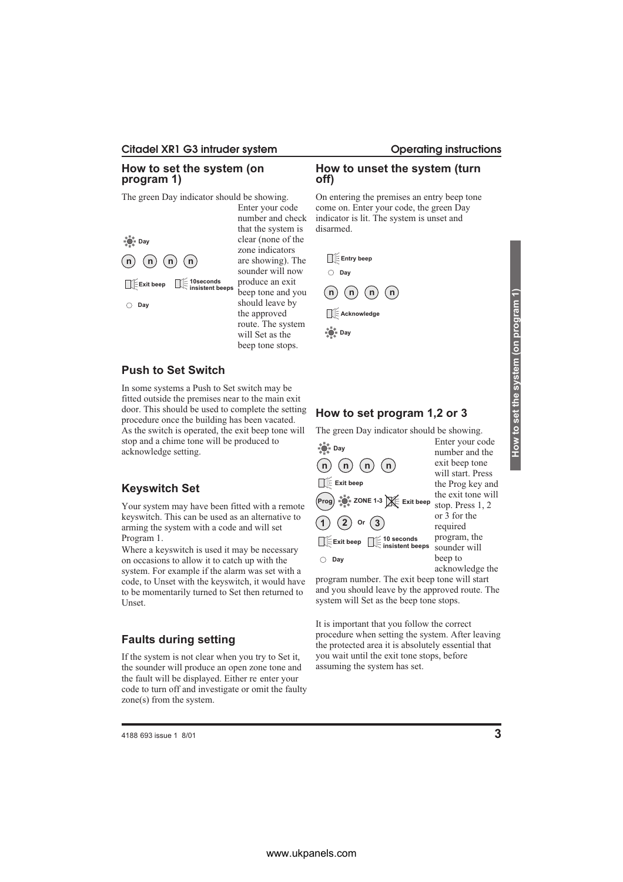### <span id="page-2-0"></span>**Citadel XR1 G3 intruder system Operating instructions**

### **How to set the system (on program 1)**

The green Day indicator should be showing.



### **Push to Set Switch**

In some systems a Push to Set switch may be fitted outside the premises near to the main exit door. This should be used to complete the setting procedure once the building has been vacated. As the switch is operated, the exit beep tone will stop and a chime tone will be produced to acknowledge setting.

beep tone stops.

# **Keyswitch Set**

Your system may have been fitted with a remote keyswitch. This can be used as an alternative to arming the system with a code and will set Program 1.

Where a keyswitch is used it may be necessary on occasions to allow it to catch up with the system. For example if the alarm was set with a code, to Unset with the keyswitch, it would have to be momentarily turned to Set then returned to Unset.

# **Faults during setting**

If the system is not clear when you try to Set it, the sounder will produce an open zone tone and the fault will be displayed. Either re enter your code to turn off and investigate or omit the faulty zone(s) from the system.

4188 693 issue 1 8/01 **3**

### **How to unset the system (turn off)**

On entering the premises an entry beep tone come on. Enter your code, the green Day indicator is lit. The system is unset and disarmed.



# **How to set program 1,2 or 3**

The green Day indicator should be showing.

Enter your code number and the exit beep tone will start. Press the Prog key and the exit tone will stop. Press 1, 2 **Prog ZONE 1-3 Exit beep** or 3 for the required program, the sounder will beep to **n n n n Day**  $(1)$   $(2)$  or  $(3)$ **Day Exit beep Exit beep 10 seconds insistent beeps**

acknowledge the program number. The exit beep tone will start

and you should leave by the approved route. The system will Set as the beep tone stops.

It is important that you follow the correct procedure when setting the system. After leaving the protected area it is absolutely essential that you wait until the exit tone stops, before assuming the system has set.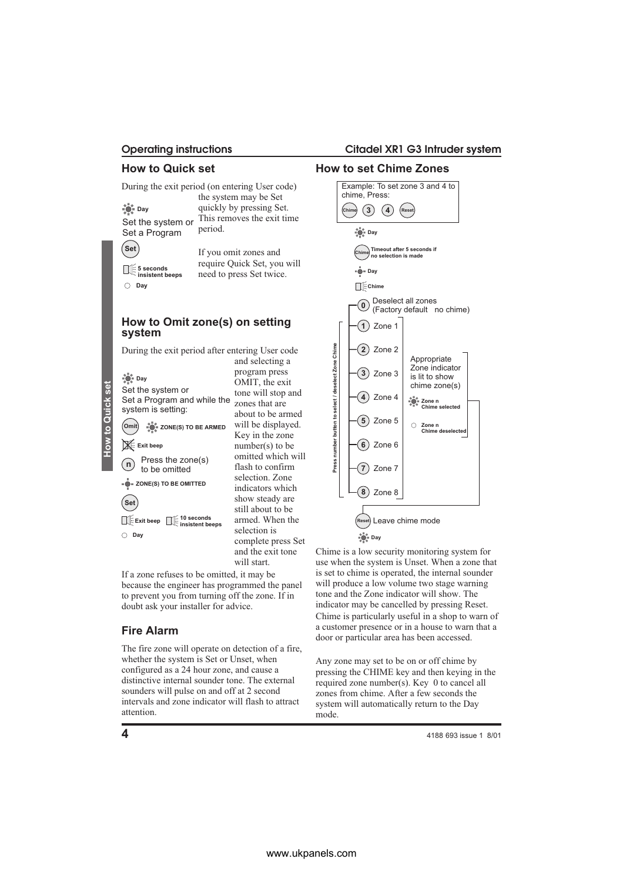### <span id="page-3-0"></span>**Operating instructions Citadel XR1 G3 Intruder system**

## **How to Quick set**

During the exit period (on entering User code)

Set the system or  $\bullet$  Day

**Set**

the system may be Set quickly by pressing Set. This removes the exit time period. Set a Program

> If you omit zones and require Quick Set, you will need to press Set twice.

> > program press OMIT, the exit tone will stop and zones that are about to be armed will be displayed. Key in the zone number(s) to be omitted which will flash to confirm selection. Zone indicators which show steady are still about to be armed. When the selection is complete press Set and the exit tone will start.

**Day** 5 seconds **insistent beeps**

# **How to Omit zone(s) on setting system**

During the exit period after entering User code and selecting a

**Day** Set the system or Set a Program and while the system is setting:

**Omit ZONE(S) TO BE ARMED Exit beep**

 $\binom{n}{n}$  Press the zone(s) to be omitted

 $\stackrel{\bullet}{\bullet}$  = ZONE(S) TO BE OMITTED

**Set**

**How to Quick set**

How to Quick set

**Exit beep 10 seconds insistent beeps Day**

If a zone refuses to be omitted, it may be because the engineer has programmed the panel to prevent you from turning off the zone. If in doubt ask your installer for advice.

## **Fire Alarm**

The fire zone will operate on detection of a fire, whether the system is Set or Unset, when configured as a 24 hour zone, and cause a distinctive internal sounder tone. The external sounders will pulse on and off at 2 second intervals and zone indicator will flash to attract attention.

### **How to set Chime Zones** Example: To set zone 3 and 4 to chime, Press:

**Day**  $(3) (4)$ 

**Chime Timeout after 5 seconds if no selection is made**



Chime is a low security monitoring system for use when the system is Unset. When a zone that is set to chime is operated, the internal sounder will produce a low volume two stage warning tone and the Zone indicator will show. The indicator may be cancelled by pressing Reset. Chime is particularly useful in a shop to warn of a customer presence or in a house to warn that a door or particular area has been accessed.

Any zone may set to be on or off chime by pressing the CHIME key and then keying in the required zone number(s). Key 0 to cancel all zones from chime. After a few seconds the system will automatically return to the Day mode.

**4** 4188 693 issue 1 8/01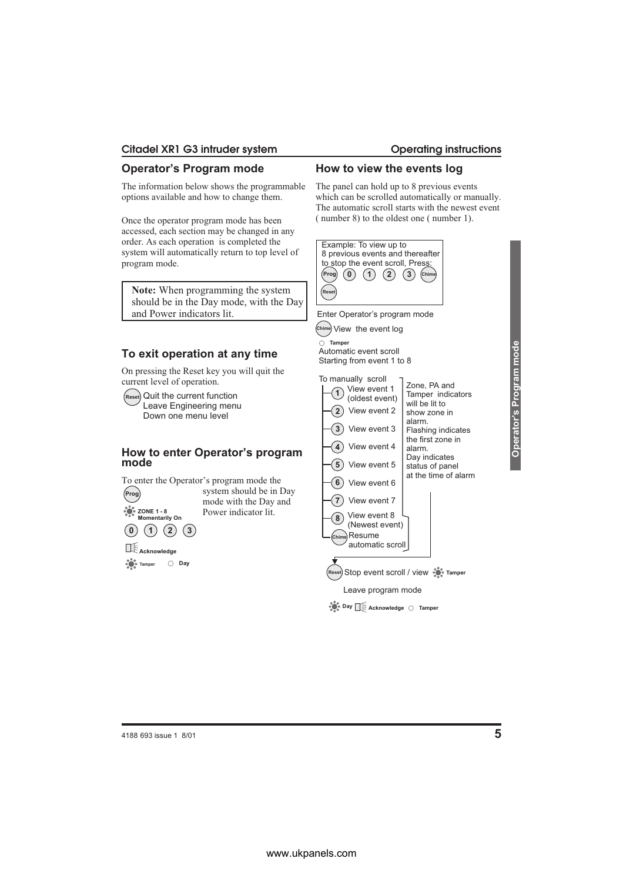# <span id="page-4-0"></span>Citadel XR1 G3 intruder system<br> **Operating instructions**

## **Operator's Program mode**

The information below shows the programmable options available and how to change them.

Once the operator program mode has been accessed, each section may be changed in any order. As each operation is completed the system will automatically return to top level of program mode.

**Note:** When programming the system should be in the Day mode, with the Day and Power indicators lit.

## **To exit operation at any time**

On pressing the Reset key you will quit the current level of operation.

**Reset** Quit the current function Leave Engineering menu Down one menu level

### **How to enter Operator's program mode**



## **How to view the events log**

The panel can hold up to 8 previous events which can be scrolled automatically or manually. The automatic scroll starts with the newest event ( number 8) to the oldest one ( number 1).



Automatic event scroll Starting from event 1 to 8 **Tamper**

| alarm.<br>View event 3<br>Flashing indicates<br>the first zone in<br>View event 4<br>alarm.<br>Day indicates<br>View event 5<br>status of panel<br>at the time of alarm<br>View event 6<br>6<br>View event 7<br>View event 8<br>8<br>(Newest event)<br><sub>Chime</sub> Resume<br>automatic scroll |  |  |  |  |  |  |
|----------------------------------------------------------------------------------------------------------------------------------------------------------------------------------------------------------------------------------------------------------------------------------------------------|--|--|--|--|--|--|
| Reset) Stop event scroll / view $\bullet$                                                                                                                                                                                                                                                          |  |  |  |  |  |  |

Leave program mode

**Day Acknowledge Tamper**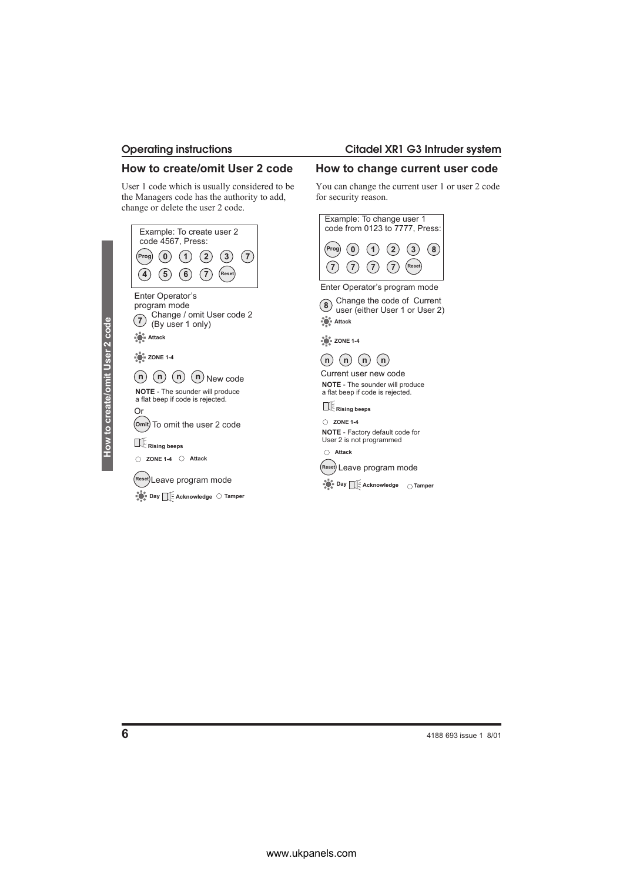# <span id="page-5-0"></span>**Operating instructions Citadel XR1 G3 Intruder system**

# **How to create/omit User 2 code**

User 1 code which is usually considered to be the Managers code has the authority to add, change or delete the user 2 code.



**Reset** Leave program mode

**Day Tamper Acknowledge**

# **How to change current user code**

You can change the current user 1 or user 2 code for security reason.

| Example: To change user 1<br>code from 0123 to 7777, Press: |                   |  |         |  |  |
|-------------------------------------------------------------|-------------------|--|---------|--|--|
| Prog) (0) (1) (2) (3)                                       | $(7)$ $(7)$ $(7)$ |  | (Reset) |  |  |
| Enter Operator's program mode                               |                   |  |         |  |  |

Change the code of Current user (either User 1 or User 2) **<sup>8</sup> Attack** 

**2001 ZONE 1-4** 



Current user new code **NOTE** - The sounder will produce a flat beep if code is rejected.

**Rising beeps**

**ZONE 1-4 NOTE** - Factory default code for User 2 is not programmed

**Reset** Leave program mode **Attack**



**6** 4188 693 issue 1 8/01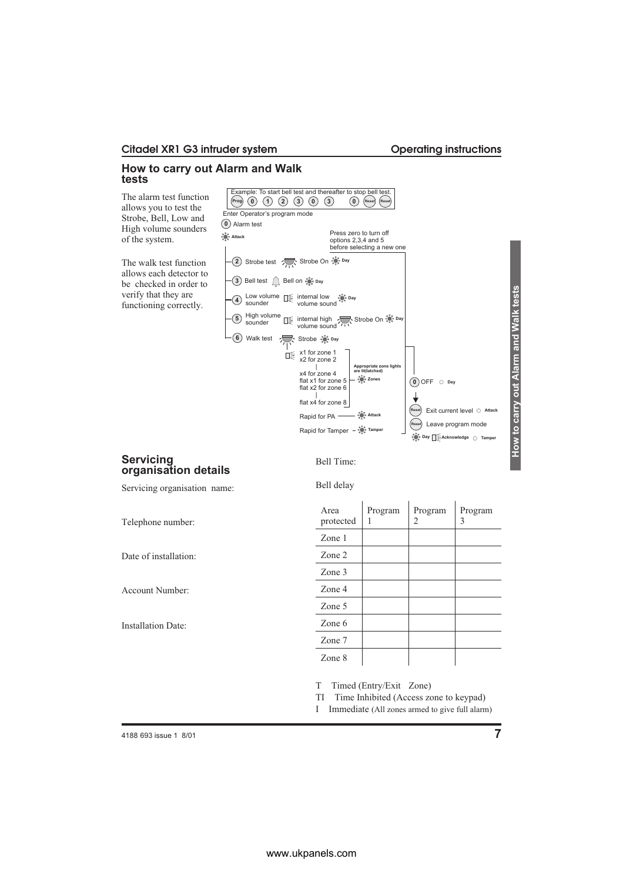### <span id="page-6-0"></span>Citadel XR1 G3 intruder system<br> **Citadel XR1 G3 intruder system**<br> **Operating instructions**

## **How to carry out Alarm and Walk tests**

The alarm test function allows you to test the Strobe, Bell, Low and High volume sounders of the system.

The walk test function allows each detector to be checked in order to verify that they are functioning correctly.

### **Servicing organisation details**

Servicing organisation name:

Telephone number:

Date of installation:

Account Number:

Installation Date:

Example: To start bell test and thereafter to stop bell test<br> $\begin{pmatrix} \n\text{Prog} & \n\text{①} & \n\text{①} & \n\text{②} & \n\end{pmatrix}$ **Prog 0 1 2 3 0 3 0 Reset Reset** Enter Operator's program mode **0** Alarm test Press zero to turn off **Attack** options 2,3,4 and 5 before selecting a new one **2**) Strobe test  $\sqrt{ }$  Strobe On  $\mathbb{P}^*$  Pay **3** Bell test  $\int$  Bell on  $\phi$  bay How to carry out Alarm and Walk tests **How to carry out Alarm and Walk tests** Low volume sounder **4** internal low volume sound **Day 5**) High volume  $\Box$  internal high  $\Box$  Strobe On  $\mathcal{P}$  Day<br>volume sound  $\Box$ **6** Walk test Strobe **(O** Day  $x1$  for zone 1 x2 for zone 2 | x4 for zone 4 **Appropriate zone lights are lit(latched) Zones** flat x1 for zone 5 **0** OFF **Day** flat x2 for zone 6  $\downarrow$ | flat x4 for zone 8 **Reset** Exit current level  $\circ$  Attack Rapid for PA **Attack Reset** Leave program mode Rapid for Tamper  $-\frac{1}{2}$ **Tamper Day Tamper Acknowledge** Bell Time:

### Bell delay

| Area<br>protected | Program | Program<br>2 | Program<br>3 |
|-------------------|---------|--------------|--------------|
| Zone 1            |         |              |              |
| Zone 2            |         |              |              |
| Zone 3            |         |              |              |
| Zone 4            |         |              |              |
| Zone 5            |         |              |              |
| Zone 6            |         |              |              |
| Zone 7            |         |              |              |
| Zone 8            |         |              |              |

T Timed (Entry/Exit Zone)

TI Time Inhibited (Access zone to keypad)

I Immediate (All zones armed to give full alarm)

4188 693 issue 1 8/01 **7**

www.ukpanels.com